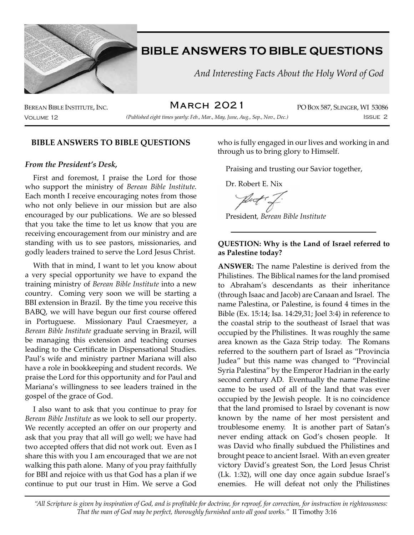

 *And Interesting Facts About the Holy Word of God*

March 2021

Volume 12 Issue 2 *(Published eight times yearly: Feb., Mar., May, June, Aug., Sep., Nov., Dec.)*

BEREAN BIBLE INSTITUTE, INC. **IN ARCH ZOZ 1** PO BOX 587, SLINGER, WI 53086

## **BIBLE ANSWERS TO BIBLE QUESTIONS**

### *From the President's Desk,*

First and foremost, I praise the Lord for those who support the ministry of *Berean Bible Institute.*  Each month I receive encouraging notes from those who not only believe in our mission but are also encouraged by our publications. We are so blessed that you take the time to let us know that you are receiving encouragement from our ministry and are standing with us to see pastors, missionaries, and godly leaders trained to serve the Lord Jesus Christ.

With that in mind, I want to let you know about a very special opportunity we have to expand the training ministry of *Berean Bible Institute* into a new country. Coming very soon we will be starting a BBI extension in Brazil. By the time you receive this BABQ, we will have begun our first course offered in Portuguese. Missionary Paul Craesmeyer, a *Berean Bible Institute* graduate serving in Brazil, will be managing this extension and teaching courses leading to the Certificate in Dispensational Studies. Paul's wife and ministry partner Mariana will also have a role in bookkeeping and student records. We praise the Lord for this opportunity and for Paul and Mariana's willingness to see leaders trained in the gospel of the grace of God.

I also want to ask that you continue to pray for *Berean Bible Institute* as we look to sell our property. We recently accepted an offer on our property and ask that you pray that all will go well; we have had two accepted offers that did not work out. Even as I share this with you I am encouraged that we are not walking this path alone. Many of you pray faithfully for BBI and rejoice with us that God has a plan if we continue to put our trust in Him. We serve a God

who is fully engaged in our lives and working in and through us to bring glory to Himself.

Praising and trusting our Savior together,

Dr. Robert E. Nix

President*, Berean Bible Institute*

### **QUESTION: Why is the Land of Israel referred to as Palestine today?**

**ANSWER:** The name Palestine is derived from the Philistines. The Biblical names for the land promised to Abraham's descendants as their inheritance (through Isaac and Jacob) are Canaan and Israel. The name Palestina, or Palestine, is found 4 times in the Bible (Ex. 15:14; Isa. 14:29,31; Joel 3:4) in reference to the coastal strip to the southeast of Israel that was occupied by the Philistines. It was roughly the same area known as the Gaza Strip today. The Romans referred to the southern part of Israel as "Provincia Judea" but this name was changed to "Provincial Syria Palestina" by the Emperor Hadrian in the early second century AD. Eventually the name Palestine came to be used of all of the land that was ever occupied by the Jewish people. It is no coincidence that the land promised to Israel by covenant is now known by the name of her most persistent and troublesome enemy. It is another part of Satan's never ending attack on God's chosen people. It was David who finally subdued the Philistines and brought peace to ancient Israel. With an even greater victory David's greatest Son, the Lord Jesus Christ (Lk. 1:32), will one day once again subdue Israel's enemies. He will defeat not only the Philistines

*"All Scripture is given by inspiration of God, and is profitable for doctrine, for reproof, for correction, for instruction in righteousness: That the man of God may be perfect, thoroughly furnished unto all good works."* II Timothy 3:16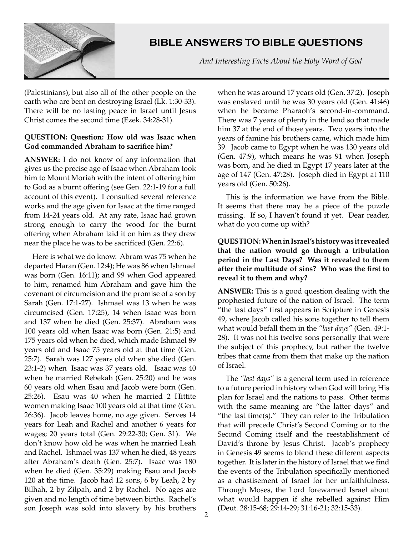

 *And Interesting Facts About the Holy Word of God*

(Palestinians), but also all of the other people on the earth who are bent on destroying Israel (Lk. 1:30-33). There will be no lasting peace in Israel until Jesus Christ comes the second time (Ezek. 34:28-31).

## **QUESTION: Question: How old was Isaac when God commanded Abraham to sacrifice him?**

**ANSWER:** I do not know of any information that gives us the precise age of Isaac when Abraham took him to Mount Moriah with the intent of offering him to God as a burnt offering (see Gen. 22:1-19 for a full account of this event). I consulted several reference works and the age given for Isaac at the time ranged from 14-24 years old. At any rate, Isaac had grown strong enough to carry the wood for the burnt offering when Abraham laid it on him as they drew near the place he was to be sacrificed (Gen. 22:6).

Here is what we do know. Abram was 75 when he departed Haran (Gen. 12:4); He was 86 when Ishmael was born (Gen. 16:11); and 99 when God appeared to him, renamed him Abraham and gave him the covenant of circumcision and the promise of a son by Sarah (Gen. 17:1-27). Ishmael was 13 when he was circumcised (Gen. 17:25), 14 when Isaac was born and 137 when he died (Gen. 25:37). Abraham was 100 years old when Isaac was born (Gen. 21:5) and 175 years old when he died, which made Ishmael 89 years old and Isaac 75 years old at that time (Gen. 25:7). Sarah was 127 years old when she died (Gen. 23:1-2) when Isaac was 37 years old. Isaac was 40 when he married Rebekah (Gen. 25:20) and he was 60 years old when Esau and Jacob were born (Gen. 25:26). Esau was 40 when he married 2 Hittite women making Isaac 100 years old at that time (Gen. 26:36). Jacob leaves home, no age given. Serves 14 years for Leah and Rachel and another 6 years for wages; 20 years total (Gen. 29:22-30; Gen. 31). We don't know how old he was when he married Leah and Rachel. Ishmael was 137 when he died, 48 years after Abraham's death (Gen. 25:7). Isaac was 180 when he died (Gen. 35:29) making Esau and Jacob 120 at the time. Jacob had 12 sons, 6 by Leah, 2 by Bilhah, 2 by Zilpah, and 2 by Rachel. No ages are given and no length of time between births. Rachel's son Joseph was sold into slavery by his brothers

when he was around 17 years old (Gen. 37:2). Joseph was enslaved until he was 30 years old (Gen. 41:46) when he became Pharaoh's second-in-command. There was 7 years of plenty in the land so that made him 37 at the end of those years. Two years into the years of famine his brothers came, which made him 39. Jacob came to Egypt when he was 130 years old (Gen. 47:9), which means he was 91 when Joseph was born, and he died in Egypt 17 years later at the age of 147 (Gen. 47:28). Joseph died in Egypt at 110 years old (Gen. 50:26).

This is the information we have from the Bible. It seems that there may be a piece of the puzzle missing. If so, I haven't found it yet. Dear reader, what do you come up with?

## **QUESTION: When in Israel's history was it revealed that the nation would go through a tribulation period in the Last Days? Was it revealed to them after their multitude of sins? Who was the first to reveal it to them and why?**

**ANSWER:** This is a good question dealing with the prophesied future of the nation of Israel. The term "the last days" first appears in Scripture in Genesis 49, where Jacob called his sons together to tell them what would befall them in the *"last days"* (Gen. 49:1- 28). It was not his twelve sons personally that were the subject of this prophecy, but rather the twelve tribes that came from them that make up the nation of Israel.

The *"last days"* is a general term used in reference to a future period in history when God will bring His plan for Israel and the nations to pass. Other terms with the same meaning are "the latter days" and "the last time(s)." They can refer to the Tribulation that will precede Christ's Second Coming or to the Second Coming itself and the reestablishment of David's throne by Jesus Christ. Jacob's prophecy in Genesis 49 seems to blend these different aspects together. It is later in the history of Israel that we find the events of the Tribulation specifically mentioned as a chastisement of Israel for her unfaithfulness. Through Moses, the Lord forewarned Israel about what would happen if she rebelled against Him (Deut. 28:15-68; 29:14-29; 31:16-21; 32:15-33).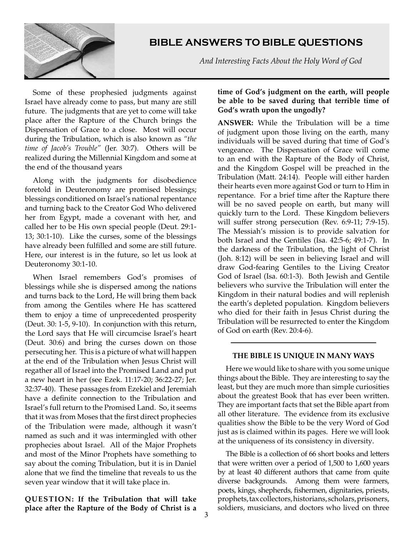

 *And Interesting Facts About the Holy Word of God*

Some of these prophesied judgments against Israel have already come to pass, but many are still future. The judgments that are yet to come will take place after the Rapture of the Church brings the Dispensation of Grace to a close. Most will occur during the Tribulation, which is also known as *"the time of Jacob's Trouble"* (Jer. 30:7). Others will be realized during the Millennial Kingdom and some at the end of the thousand years

Along with the judgments for disobedience foretold in Deuteronomy are promised blessings; blessings conditioned on Israel's national repentance and turning back to the Creator God Who delivered her from Egypt, made a covenant with her, and called her to be His own special people (Deut. 29:1- 13; 30:1-10). Like the curses, some of the blessings have already been fulfilled and some are still future. Here, our interest is in the future, so let us look at Deuteronomy 30:1-10.

When Israel remembers God's promises of blessings while she is dispersed among the nations and turns back to the Lord, He will bring them back from among the Gentiles where He has scattered them to enjoy a time of unprecedented prosperity (Deut. 30: 1-5, 9-10). In conjunction with this return, the Lord says that He will circumcise Israel's heart (Deut. 30:6) and bring the curses down on those persecuting her. This is a picture of what will happen at the end of the Tribulation when Jesus Christ will regather all of Israel into the Promised Land and put a new heart in her (see Ezek. 11:17-20; 36:22-27; Jer. 32:37-40). These passages from Ezekiel and Jeremiah have a definite connection to the Tribulation and Israel's full return to the Promised Land. So, it seems that it was from Moses that the first direct prophecies of the Tribulation were made, although it wasn't named as such and it was intermingled with other prophecies about Israel. All of the Major Prophets and most of the Minor Prophets have something to say about the coming Tribulation, but it is in Daniel alone that we find the timeline that reveals to us the seven year window that it will take place in.

**QUESTION: If the Tribulation that will take place after the Rapture of the Body of Christ is a** 

### **time of God's judgment on the earth, will people be able to be saved during that terrible time of God's wrath upon the ungodly?**

**ANSWER:** While the Tribulation will be a time of judgment upon those living on the earth, many individuals will be saved during that time of God's vengeance. The Dispensation of Grace will come to an end with the Rapture of the Body of Christ, and the Kingdom Gospel will be preached in the Tribulation (Matt. 24:14). People will either harden their hearts even more against God or turn to Him in repentance. For a brief time after the Rapture there will be no saved people on earth, but many will quickly turn to the Lord. These Kingdom believers will suffer strong persecution (Rev. 6:9-11; 7:9-15). The Messiah's mission is to provide salvation for both Israel and the Gentiles (Isa. 42:5-6; 49:1-7). In the darkness of the Tribulation, the light of Christ (Joh. 8:12) will be seen in believing Israel and will draw God-fearing Gentiles to the Living Creator God of Israel (Isa. 60:1-3). Both Jewish and Gentile believers who survive the Tribulation will enter the Kingdom in their natural bodies and will replenish the earth's depleted population. Kingdom believers who died for their faith in Jesus Christ during the Tribulation will be resurrected to enter the Kingdom of God on earth (Rev. 20:4-6).

### **THE BIBLE IS UNIQUE IN MANY WAYS**

Here we would like to share with you some unique things about the Bible. They are interesting to say the least, but they are much more than simple curiosities about the greatest Book that has ever been written. They are important facts that set the Bible apart from all other literature. The evidence from its exclusive qualities show the Bible to be the very Word of God just as is claimed within its pages. Here we will look at the uniqueness of its consistency in diversity.

The Bible is a collection of 66 short books and letters that were written over a period of 1,500 to 1,600 years by at least 40 different authors that came from quite diverse backgrounds. Among them were farmers, poets, kings, shepherds, fishermen, dignitaries, priests, prophets, tax collectors, historians, scholars, prisoners, soldiers, musicians, and doctors who lived on three